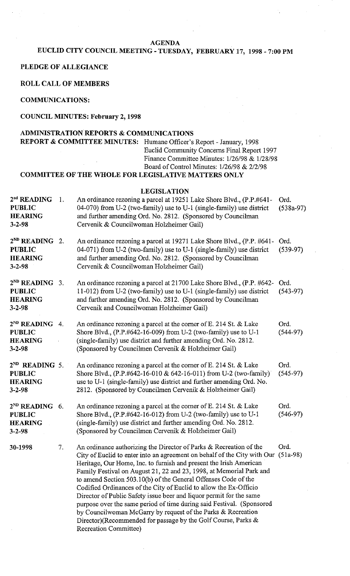#### **AGENDA**

## **EUCLID CITY COUNCIL MEETING** - **TUESDAY, FEBRUARY 17, 1998** - **7:00 PM**

#### **PLEDGE OF ALLEGIANCE**

**ROLL CALL OF MEMBERS** 

**COMMUNICATIONS:** 

#### **COUNCIL MINUTES: February 2,1998**

### **ADMINISTRATION REPORTS** & **COMMUNICATIONS**

**REPORT** & **COMMITTEE MINUTES:** Humane Officer's Report - January, 1998 Euclid Community Concerns Final Report 1997 Finance Committee Minutes: 1/26/98 & 1/28/98 Board of Control Minutes: 1/26/98 & 2/2/98

### **COMMITTEE OF THE WHOLE FOR LEGISLATIVE MATTERS ONLY**

|                                                                               |    | <b>LEGISLATION</b>                                                                                                                                                                                                                                                                                                                                                                                                                                                                                                                                                                                                                                                                                                                                    |                     |
|-------------------------------------------------------------------------------|----|-------------------------------------------------------------------------------------------------------------------------------------------------------------------------------------------------------------------------------------------------------------------------------------------------------------------------------------------------------------------------------------------------------------------------------------------------------------------------------------------------------------------------------------------------------------------------------------------------------------------------------------------------------------------------------------------------------------------------------------------------------|---------------------|
| 2 <sup>nd</sup> READING<br><b>PUBLIC</b><br><b>HEARING</b><br>$3 - 2 - 98$    | 1. | An ordinance rezoning a parcel at 19251 Lake Shore Blvd., (P.P.#641-<br>04-070) from U-2 (two-family) use to U-1 (single-family) use district<br>and further amending Ord. No. 2812. (Sponsored by Councilman<br>Cervenik & Councilwoman Holzheimer Gail)                                                                                                                                                                                                                                                                                                                                                                                                                                                                                             | Ord.<br>$(538a-97)$ |
| $2^{ND}$ READING 2.<br><b>PUBLIC</b><br><b>HEARING</b><br>$3 - 2 - 98$        |    | An ordinance rezoning a parcel at 19271 Lake Shore Blvd., (P.P. #641-<br>04-071) from U-2 (two-family) use to U-1 (single-family) use district<br>and further amending Ord. No. 2812. (Sponsored by Councilman<br>Cervenik & Councilwoman Holzheimer Gail)                                                                                                                                                                                                                                                                                                                                                                                                                                                                                            | Ord.<br>$(539-97)$  |
| $2^{ND}$ READING 3.<br><b>PUBLIC</b><br><b>HEARING</b><br>$3 - 2 - 98$        |    | An ordinance rezoning a parcel at 21700 Lake Shore Blvd., (P.P. #642-<br>11-012) from U-2 (two-family) use to U-1 (single-family) use district<br>and further amending Ord. No. 2812. (Sponsored by Councilman<br>Cervenik and Councilwoman Holzheimer Gail)                                                                                                                                                                                                                                                                                                                                                                                                                                                                                          | Ord.<br>$(543-97)$  |
| $2^{ND}$ READING<br><b>PUBLIC</b><br><b>HEARING</b><br>$3 - 2 - 98$           | 4. | An ordinance rezoning a parcel at the corner of E. 214 St. & Lake<br>Shore Blvd., (P.P.#642-16-009) from U-2 (two-family) use to U-1<br>(single-family) use district and further amending Ord. No. 2812.<br>(Sponsored by Councilmen Cervenik & Holzheimer Gail)                                                                                                                                                                                                                                                                                                                                                                                                                                                                                      | Ord.<br>$(544-97)$  |
| 2 <sup>ND</sup> READING 5.<br><b>PUBLIC</b><br><b>HEARING</b><br>$3 - 2 - 98$ |    | An ordinance rezoning a parcel at the corner of E. 214 St. & Lake<br>Shore Blvd., (P.P.#642-16-010 & 642-16-011) from U-2 (two-family)<br>use to U-1 (single-family) use district and further amending Ord. No.<br>2812. (Sponsored by Councilmen Cervenik & Holzheimer Gail)                                                                                                                                                                                                                                                                                                                                                                                                                                                                         | Ord.<br>$(545-97)$  |
| $2^{ND}$ READING 6.<br><b>PUBLIC</b><br><b>HEARING</b><br>$3 - 2 - 98$        |    | An ordinance rezoning a parcel at the corner of E. 214 St. & Lake<br>Shore Blvd., (P.P.#642-16-012) from U-2 (two-family) use to U-1<br>(single-family) use district and further amending Ord. No. 2812.<br>(Sponsored by Councilmen Cervenik & Holzheimer Gail)                                                                                                                                                                                                                                                                                                                                                                                                                                                                                      | Ord.<br>$(546-97)$  |
| 30-1998                                                                       | 7. | An ordinance authorizing the Director of Parks & Recreation of the<br>City of Euclid to enter into an agreement on behalf of the City with Our (51a-98)<br>Heritage, Our Home, Inc. to furnish and present the Irish American<br>Family Festival on August 21, 22 and 23, 1998, at Memorial Park and<br>to amend Section 503.10(b) of the General Offenses Code of the<br>Codified Ordinances of the City of Euclid to allow the Ex-Officio<br>Director of Public Safety issue beer and liquor permit for the same<br>purpose over the same period of time during said Festival. (Sponsored<br>by Councilwoman McGarry by request of the Parks & Recreation<br>Director)(Recommended for passage by the Golf Course, Parks &<br>Recreation Committee) | Ord.                |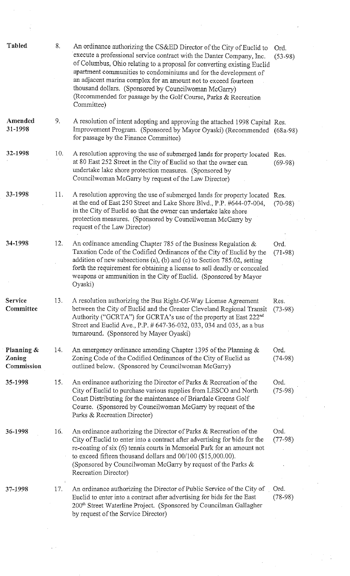| <b>Tabled</b>                      | 8.  | An ordinance authorizing the CS&ED Director of the City of Euclid to<br>execute a professional service contract with the Danter Company, Inc.<br>of Columbus, Ohio relating to a proposal for converting existing Euclid<br>apartment communities to condominiums and for the development of<br>an adjacent marina complex for an amount not to exceed fourteen<br>thousand dollars. (Sponsored by Councilwoman McGarry)<br>(Recommended for passage by the Golf Course, Parks & Recreation<br>Committee) | Ord.<br>$(53-98)$ |
|------------------------------------|-----|-----------------------------------------------------------------------------------------------------------------------------------------------------------------------------------------------------------------------------------------------------------------------------------------------------------------------------------------------------------------------------------------------------------------------------------------------------------------------------------------------------------|-------------------|
| Amended<br>31-1998                 | 9.  | A resolution of intent adopting and approving the attached 1998 Capital Res.<br>Improvement Program. (Sponsored by Mayor Oyaski) (Recommended (68a-98)<br>for passage by the Finance Committee)                                                                                                                                                                                                                                                                                                           |                   |
| 32-1998                            | 10. | A resolution approving the use of submerged lands for property located Res.<br>at 80 East 252 Street in the City of Euclid so that the owner can<br>undertake lake shore protection measures. (Sponsored by<br>Councilwoman McGarry by request of the Law Director)                                                                                                                                                                                                                                       | $(69-98)$         |
| 33-1998                            | 11. | A resolution approving the use of submerged lands for property located Res.<br>at the end of East 250 Street and Lake Shore Blvd., P.P. #644-07-004,<br>in the City of Euclid so that the owner can undertake lake shore<br>protection measures. (Sponsored by Councilwoman McGarry by<br>request of the Law Director)                                                                                                                                                                                    | $(70-98)$         |
| 34-1998                            | 12. | An ordinance amending Chapter 785 of the Business Regulation &<br>Taxation Code of the Codified Ordinances of the City of Euclid by the<br>addition of new subsections (a), (b) and (c) to Section 785.02, setting<br>forth the requirement for obtaining a license to sell deadly or concealed<br>weapons or ammunition in the City of Euclid. (Sponsored by Mayor<br>Oyaski)                                                                                                                            | Ord.<br>$(71-98)$ |
| Service<br>Committee               | 13. | A resolution authorizing the Bus Right-Of-Way License Agreement<br>between the City of Euclid and the Greater Cleveland Regional Transit<br>Authority ("GCRTA") for GCRTA's use of the property at East 222 <sup>nd</sup><br>Street and Euclid Ave., P.P. # 647-36-032, 033, 034 and 035, as a bus<br>turnaround. (Sponsored by Mayor Oyaski)                                                                                                                                                             | Res.<br>$(73-98)$ |
| Planning &<br>Zoning<br>Commission | 14. | An emergency ordinance amending Chapter 1395 of the Planning $\&$<br>Zoning Code of the Codified Ordinances of the City of Euclid as<br>outlined below. (Sponsored by Councilwoman McGarry)                                                                                                                                                                                                                                                                                                               | Ord.<br>$(74-98)$ |
| 35-1998                            | 15. | An ordinance authorizing the Director of Parks & Recreation of the<br>City of Euclid to purchase various supplies from LESCO and North<br>Coast Distributing for the maintenance of Briardale Greens Golf<br>Course. (Sponsored by Councilwoman McGarry by request of the<br>Parks & Recreation Director)                                                                                                                                                                                                 | Ord.<br>$(75-98)$ |
| 36-1998                            | 16. | An ordinance authorizing the Director of Parks $\&$ Recreation of the<br>City of Euclid to enter into a contract after advertising for bids for the<br>re-coating of six (6) tennis courts in Memorial Park for an amount not<br>to exceed fifteen thousand dollars and 00/100 (\$15,000.00).<br>(Sponsored by Councilwoman McGarry by request of the Parks &<br>Recreation Director)                                                                                                                     | Ord.<br>$(77-98)$ |
| 37-1998                            | 17. | An ordinance authorizing the Director of Public Service of the City of<br>Euclid to enter into a contract after advertising for bids for the East<br>200 <sup>th</sup> Street Waterline Project. (Sponsored by Councilman Gallagher<br>by request of the Service Director)                                                                                                                                                                                                                                | Ord.<br>$(78-98)$ |

 $\label{eq:2.1} \frac{1}{\sqrt{2}}\int_{\mathbb{R}^3}\frac{1}{\sqrt{2}}\left(\frac{1}{\sqrt{2}}\right)^2\frac{1}{\sqrt{2}}\left(\frac{1}{\sqrt{2}}\right)^2\frac{1}{\sqrt{2}}\left(\frac{1}{\sqrt{2}}\right)^2.$ 

 $\label{eq:2} \frac{1}{2} \int_{\mathbb{R}^3} \frac{1}{\sqrt{2}} \, \mathrm{d} \mu \, \mathrm{d} \mu \, \mathrm{d} \mu \, \mathrm{d} \mu \, \mathrm{d} \mu \, \mathrm{d} \mu \, \mathrm{d} \mu \, \mathrm{d} \mu \, \mathrm{d} \mu \, \mathrm{d} \mu \, \mathrm{d} \mu \, \mathrm{d} \mu \, \mathrm{d} \mu \, \mathrm{d} \mu \, \mathrm{d} \mu \, \mathrm{d} \mu \, \mathrm{d} \mu \, \mathrm{d} \mu \, \mathrm{d} \mu \, \mathrm{d} \mu \, \mathrm$ 

 $\sim$   $\sim$ 

 $\sim$ 

 $\sim$ 

 $\sim$  10  $^{\circ}$